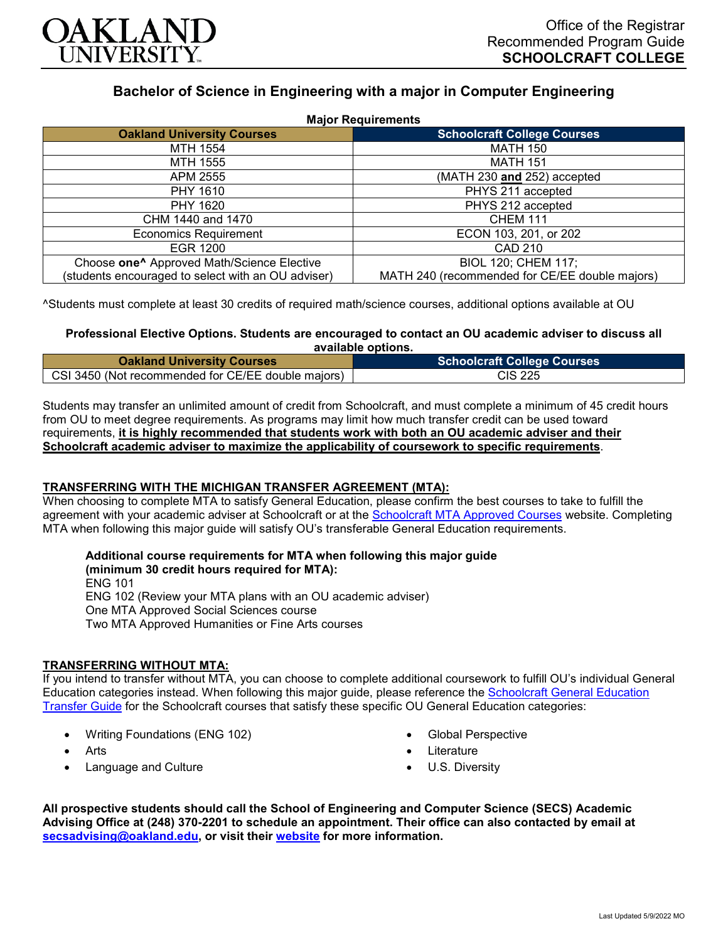

# **Bachelor of Science in Engineering with a major in Computer Engineering**

| <b>Major Requirements</b>                              |                                                |
|--------------------------------------------------------|------------------------------------------------|
| <b>Oakland University Courses</b>                      | <b>Schoolcraft College Courses</b>             |
| MTH 1554                                               | <b>MATH 150</b>                                |
| MTH 1555                                               | <b>MATH 151</b>                                |
| APM 2555                                               | (MATH 230 and 252) accepted                    |
| PHY 1610                                               | PHYS 211 accepted                              |
| PHY 1620                                               | PHYS 212 accepted                              |
| CHM 1440 and 1470                                      | <b>CHEM 111</b>                                |
| <b>Economics Requirement</b>                           | ECON 103, 201, or 202                          |
| EGR 1200                                               | CAD 210                                        |
| Choose one <sup>^</sup> Approved Math/Science Elective | BIOL 120; CHEM 117;                            |
| (students encouraged to select with an OU adviser)     | MATH 240 (recommended for CE/EE double majors) |

^Students must complete at least 30 credits of required math/science courses, additional options available at OU

#### **Professional Elective Options. Students are encouraged to contact an OU academic adviser to discuss all available options.**

| <b>Oakland University Courses</b>                  | <b>Schoolcraft College Courses</b> |
|----------------------------------------------------|------------------------------------|
| CSI 3450 (Not recommended for CE/EE double majors) | CIS 225                            |

Students may transfer an unlimited amount of credit from Schoolcraft, and must complete a minimum of 45 credit hours from OU to meet degree requirements. As programs may limit how much transfer credit can be used toward requirements, **it is highly recommended that students work with both an OU academic adviser and their Schoolcraft academic adviser to maximize the applicability of coursework to specific requirements**.

# **TRANSFERRING WITH THE MICHIGAN TRANSFER AGREEMENT (MTA):**

When choosing to complete MTA to satisfy General Education, please confirm the best courses to take to fulfill the agreement with your academic adviser at Schoolcraft or at the [Schoolcraft MTA Approved Courses](https://www.schoolcraft.edu/academics/michigan-transfer-agreement) website. Completing MTA when following this major guide will satisfy OU's transferable General Education requirements.

# **Additional course requirements for MTA when following this major guide**

**(minimum 30 credit hours required for MTA):** ENG 101 ENG 102 (Review your MTA plans with an OU academic adviser) One MTA Approved Social Sciences course Two MTA Approved Humanities or Fine Arts courses

# **TRANSFERRING WITHOUT MTA:**

If you intend to transfer without MTA, you can choose to complete additional coursework to fulfill OU's individual General Education categories instead. When following this major guide, please reference the [Schoolcraft General Education](https://www.oakland.edu/Assets/Oakland/program-guides/schoolcraft-college/university-general-education-requirements/Schoolcraft%20Gen%20Ed.pdf)  [Transfer Guide](https://www.oakland.edu/Assets/Oakland/program-guides/schoolcraft-college/university-general-education-requirements/Schoolcraft%20Gen%20Ed.pdf) for the Schoolcraft courses that satisfy these specific OU General Education categories:

- Writing Foundations (ENG 102)
- **Arts**
- Language and Culture
- Global Perspective
- Literature
- U.S. Diversity

**All prospective students should call the School of Engineering and Computer Science (SECS) Academic Advising Office at (248) 370-2201 to schedule an appointment. Their office can also contacted by email at [secsadvising@oakland.edu,](mailto:secsadvising@oakland.edu) or visit their [website](https://wwwp.oakland.edu/secs/advising/) for more information.**